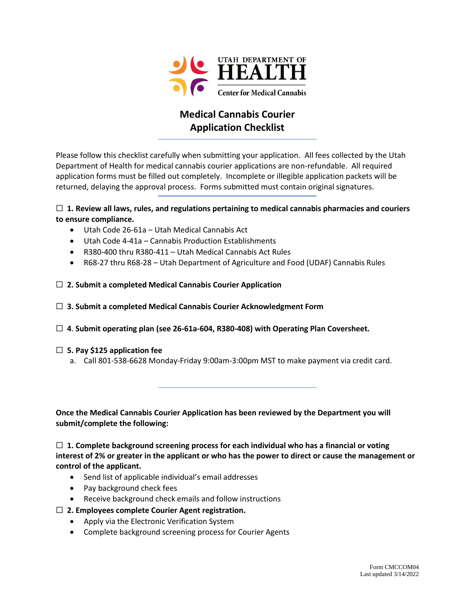

## **Medical Cannabis Courier Application Checklist**

Please follow this checklist carefully when submitting your application. All fees collected by the Utah Department of Health for medical cannabis courier applications are non-refundable. All required application forms must be filled out completely. Incomplete or illegible application packets will be returned, delaying the approval process. Forms submitted must contain original signatures.

#### ☐ **1. Review all laws, rules, and regulations pertaining to medical cannabis pharmacies and couriers to ensure compliance.**

- Utah Code 26-61a Utah Medical Cannabis Act
- Utah Code 4-41a Cannabis Production Establishments
- R380-400 thru R380-411 Utah Medical Cannabis Act Rules
- R68-27 thru R68-28 Utah Department of Agriculture and Food (UDAF) Cannabis Rules

#### ☐ **2. Submit a completed Medical Cannabis Courier Application**

#### ☐ **3. Submit a completed Medical Cannabis Courier Acknowledgment Form**

#### ☐ **4**. **Submit operating plan (see 26-61a-604, R380-408) with Operating Plan Coversheet.**

#### ☐ **5. Pay \$125 application fee**

a. Call 801-538-6628 Monday-Friday 9:00am-3:00pm MST to make payment via credit card.

**Once the Medical Cannabis Courier Application has been reviewed by the Department you will submit/complete the following:**

☐ **1. Complete background screening process for each individual who has a financial or voting interest of 2% or greater in the applicant or who has the power to direct or cause the management or control of the applicant.**

- Send list of applicable individual's email addresses
- Pay background check fees
- Receive background check emails and follow instructions
- ☐ **2. Employees complete Courier Agent registration.**
	- Apply via the Electronic Verification System
	- Complete background screening process for Courier Agents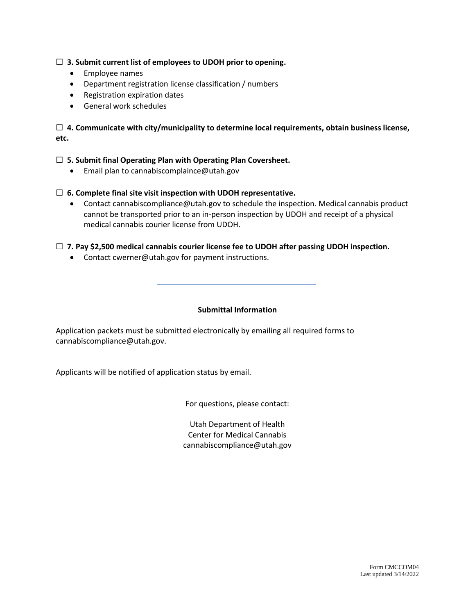#### ☐ **3. Submit current list of employees to UDOH prior to opening.**

- Employee names
- Department registration license classification / numbers
- Registration expiration dates
- General work schedules

☐ **4. Communicate with city/municipality to determine local requirements, obtain business license, etc.**

#### ☐ **5. Submit final Operating Plan with Operating Plan Coversheet.**

• Email plan to cannabiscomplaince@utah.gov

#### ☐ **6. Complete final site visit inspection with UDOH representative.**

• Contact cannabiscompliance@utah.gov to schedule the inspection. Medical cannabis product cannot be transported prior to an in-person inspection by UDOH and receipt of a physical medical cannabis courier license from UDOH.

#### ☐ **7. Pay \$2,500 medical cannabis courier license fee to UDOH after passing UDOH inspection.**

• Contact cwerner@utah.gov for payment instructions.

#### **Submittal Information**

Application packets must be submitted electronically by emailing all required forms to cannabiscompliance@utah.gov.

Applicants will be notified of application status by email.

For questions, please contact:

Utah Department of Health Center for Medical Cannabis cannabiscompliance@utah.gov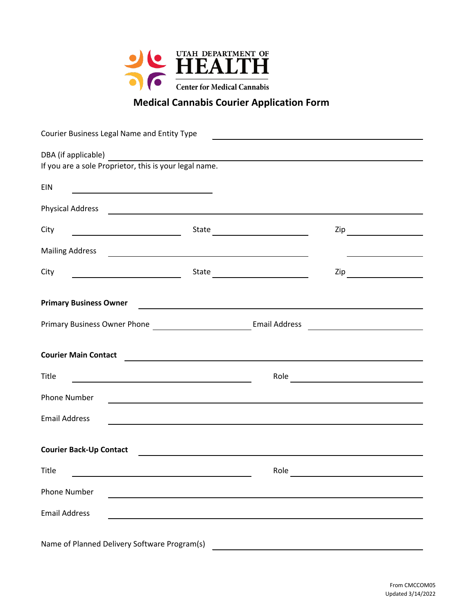

# **Medical Cannabis Courier Application Form**

| Courier Business Legal Name and Entity Type                                                                                  |                                                                                                                                                                                                                                      |                                                                                                                                                                                                                                      |  |
|------------------------------------------------------------------------------------------------------------------------------|--------------------------------------------------------------------------------------------------------------------------------------------------------------------------------------------------------------------------------------|--------------------------------------------------------------------------------------------------------------------------------------------------------------------------------------------------------------------------------------|--|
|                                                                                                                              |                                                                                                                                                                                                                                      |                                                                                                                                                                                                                                      |  |
|                                                                                                                              |                                                                                                                                                                                                                                      |                                                                                                                                                                                                                                      |  |
| <b>EIN</b>                                                                                                                   |                                                                                                                                                                                                                                      |                                                                                                                                                                                                                                      |  |
| Physical Address <b>Physical Address</b>                                                                                     |                                                                                                                                                                                                                                      |                                                                                                                                                                                                                                      |  |
| City<br><u> Alexandria de la contrada de la contrada de la contrada de la contrada de la contrada de la contrada de la c</u> |                                                                                                                                                                                                                                      |                                                                                                                                                                                                                                      |  |
| <b>Mailing Address</b>                                                                                                       | <u> 1989 - Johann John Stein, markin fan it ferstjer fan de ferstjer fan it ferstjer fan de ferstjer fan it fers</u>                                                                                                                 |                                                                                                                                                                                                                                      |  |
| City                                                                                                                         | State                                                                                                                                                                                                                                | $\mathsf{Zip}\_\_$                                                                                                                                                                                                                   |  |
| <b>Primary Business Owner</b>                                                                                                | <u> 1989 - Johann Stoff, deutscher Stoffen und der Stoffen und der Stoffen und der Stoffen und der Stoffen und der Stoffen und der Stoffen und der Stoffen und der Stoffen und der Stoffen und der Stoffen und der Stoffen und d</u> |                                                                                                                                                                                                                                      |  |
|                                                                                                                              |                                                                                                                                                                                                                                      |                                                                                                                                                                                                                                      |  |
| <b>Courier Main Contact</b>                                                                                                  | <u> 1989 - Johann Stein, marwolaethau a bhann an t-Amhair an t-Amhair an t-Amhair an t-Amhair an t-Amhair an t-A</u>                                                                                                                 |                                                                                                                                                                                                                                      |  |
| <b>Title</b>                                                                                                                 |                                                                                                                                                                                                                                      |                                                                                                                                                                                                                                      |  |
| <b>Phone Number</b>                                                                                                          | <u> 1989 - Johann Stoff, deutscher Stoff, der Stoff, der Stoff, der Stoff, der Stoff, der Stoff, der Stoff, der S</u>                                                                                                                |                                                                                                                                                                                                                                      |  |
| <b>Email Address</b>                                                                                                         |                                                                                                                                                                                                                                      |                                                                                                                                                                                                                                      |  |
| <b>Courier Back-Up Contact</b>                                                                                               | <u> 1980 - Jan James James Barbara, martxa a shekara 1980 - Andrew Start Barbara (h. 1981).</u>                                                                                                                                      |                                                                                                                                                                                                                                      |  |
| Title                                                                                                                        | Role                                                                                                                                                                                                                                 | <u>and the company of the company of the company of the company of the company of the company of the company of the company of the company of the company of the company of the company of the company of the company of the com</u> |  |
| <b>Phone Number</b>                                                                                                          |                                                                                                                                                                                                                                      |                                                                                                                                                                                                                                      |  |
| <b>Email Address</b>                                                                                                         |                                                                                                                                                                                                                                      |                                                                                                                                                                                                                                      |  |
| Name of Planned Delivery Software Program(s)                                                                                 |                                                                                                                                                                                                                                      |                                                                                                                                                                                                                                      |  |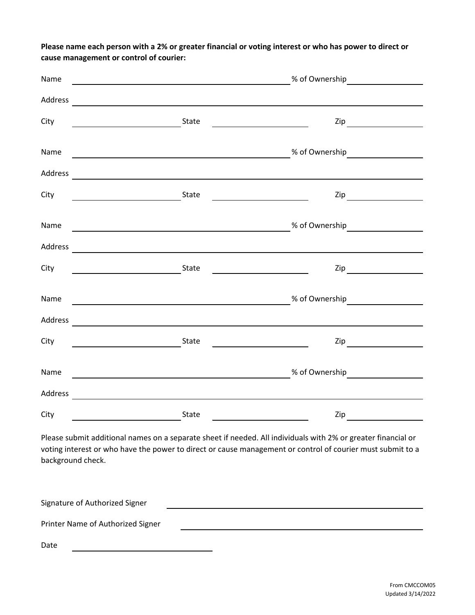**Please name each person with a 2% or greater financial or voting interest or who has power to direct or cause management or control of courier:**

| Name    |                                                                                                                                                                                                                                      | <b>Example 2018</b> of Ownership Manual Manual Manual Manual Manual Manual Manual Manual Manual Manual Manual Manual |  |  |
|---------|--------------------------------------------------------------------------------------------------------------------------------------------------------------------------------------------------------------------------------------|----------------------------------------------------------------------------------------------------------------------|--|--|
| Address | <u> 1989 - Andrea Stadt Britain, amerikansk politik (* 1958)</u>                                                                                                                                                                     |                                                                                                                      |  |  |
| City    | <u> 1990 - Johann Barbara, martin a</u>                                                                                                                                                                                              | $\mathsf{Zip}\_\_$                                                                                                   |  |  |
| Name    | <u>and the contract of the contract of the contract of the contract of the contract of the contract of the contract of the contract of the contract of the contract of the contract of the contract of the contract of the contr</u> |                                                                                                                      |  |  |
| Address | <u> 1989 - Andrea Andrew Maria (h. 1989).</u>                                                                                                                                                                                        |                                                                                                                      |  |  |
| City    |                                                                                                                                                                                                                                      | $\mathsf{Zip}\_\_$                                                                                                   |  |  |
| Name    |                                                                                                                                                                                                                                      |                                                                                                                      |  |  |
| Address |                                                                                                                                                                                                                                      |                                                                                                                      |  |  |
| City    | State                                                                                                                                                                                                                                | $\mathsf{Zip}$                                                                                                       |  |  |
| Name    | <u> 1989 - Johann Barbara, martxa alemaniar arg</u>                                                                                                                                                                                  |                                                                                                                      |  |  |
| Address |                                                                                                                                                                                                                                      |                                                                                                                      |  |  |
| City    | <u> 1980 - Johann Barbara, martin a</u>                                                                                                                                                                                              | $\mathsf{Zip} \hspace{0.5cm} \overbrace{\hspace{1.5cm} }$                                                            |  |  |
| Name    |                                                                                                                                                                                                                                      |                                                                                                                      |  |  |
| Address | <u> 1980 - Johann John Stone, markin film yn y brening yn y brening yn y brening y brening yn y brening y brenin</u>                                                                                                                 |                                                                                                                      |  |  |
| City    | State<br>Zip                                                                                                                                                                                                                         |                                                                                                                      |  |  |

Please submit additional names on a separate sheet if needed. All individuals with 2% or greater financial or voting interest or who have the power to direct or cause management or control of courier must submit to a background check.

| Signature of Authorized Signer    |  |
|-----------------------------------|--|
| Printer Name of Authorized Signer |  |
| Date                              |  |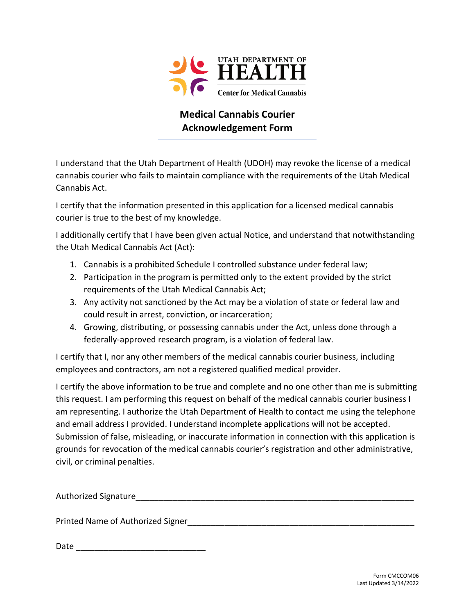

### **Medical Cannabis Courier Acknowledgement Form**

I understand that the Utah Department of Health (UDOH) may revoke the license of a medical cannabis courier who fails to maintain compliance with the requirements of the Utah Medical Cannabis Act.

I certify that the information presented in this application for a licensed medical cannabis courier is true to the best of my knowledge.

I additionally certify that I have been given actual Notice, and understand that notwithstanding the Utah Medical Cannabis Act (Act):

- 1. Cannabis is a prohibited Schedule I controlled substance under federal law;
- 2. Participation in the program is permitted only to the extent provided by the strict requirements of the Utah Medical Cannabis Act;
- 3. Any activity not sanctioned by the Act may be a violation of state or federal law and could result in arrest, conviction, or incarceration;
- 4. Growing, distributing, or possessing cannabis under the Act, unless done through a federally-approved research program, is a violation of federal law.

I certify that I, nor any other members of the medical cannabis courier business, including employees and contractors, am not a registered qualified medical provider.

I certify the above information to be true and complete and no one other than me is submitting this request. I am performing this request on behalf of the medical cannabis courier business I am representing. I authorize the Utah Department of Health to contact me using the telephone and email address I provided. I understand incomplete applications will not be accepted. Submission of false, misleading, or inaccurate information in connection with this application is grounds for revocation of the medical cannabis courier's registration and other administrative, civil, or criminal penalties.

| Authorized Signature |  |
|----------------------|--|
|----------------------|--|

Printed Name of Authorized Signer

Date  $\Box$